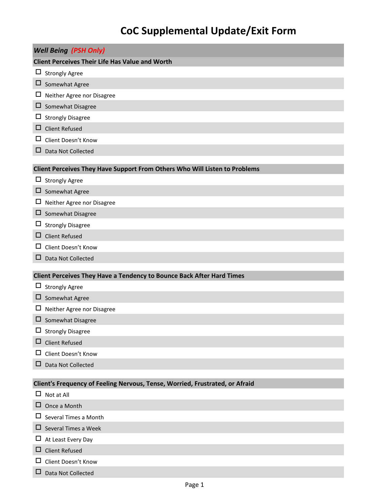## **CoC Supplemental Update/Exit Form**

| <b>Well Being (PSH Only)</b><br><b>Client Perceives Their Life Has Value and Worth</b><br><b>Strongly Agree</b><br>$\Box$<br>Somewhat Agree<br>$\Box$<br>ப<br>Neither Agree nor Disagree<br>□<br>Somewhat Disagree<br>⊔<br><b>Strongly Disagree</b><br><b>Client Refused</b><br>ப<br>Client Doesn't Know<br>ப<br>Data Not Collected<br>ப<br>Client Perceives They Have Support From Others Who Will Listen to Problems<br>$\Box$ Strongly Agree<br>$\Box$ Somewhat Agree<br>$\Box$<br>Neither Agree nor Disagree<br>□<br>Somewhat Disagree<br><b>Strongly Disagree</b><br>ப<br><b>Client Refused</b><br>□<br>Client Doesn't Know<br>ப<br>Data Not Collected<br>ப<br>Client Perceives They Have a Tendency to Bounce Back After Hard Times<br>$\Box$ Strongly Agree<br>Somewhat Agree<br>□<br>ப<br>Neither Agree nor Disagree<br>⊔<br>Somewhat Disagree<br><b>Strongly Disagree</b><br>⊔<br><b>Client Refused</b><br>ப |
|-----------------------------------------------------------------------------------------------------------------------------------------------------------------------------------------------------------------------------------------------------------------------------------------------------------------------------------------------------------------------------------------------------------------------------------------------------------------------------------------------------------------------------------------------------------------------------------------------------------------------------------------------------------------------------------------------------------------------------------------------------------------------------------------------------------------------------------------------------------------------------------------------------------------------|
|                                                                                                                                                                                                                                                                                                                                                                                                                                                                                                                                                                                                                                                                                                                                                                                                                                                                                                                       |
|                                                                                                                                                                                                                                                                                                                                                                                                                                                                                                                                                                                                                                                                                                                                                                                                                                                                                                                       |
|                                                                                                                                                                                                                                                                                                                                                                                                                                                                                                                                                                                                                                                                                                                                                                                                                                                                                                                       |
|                                                                                                                                                                                                                                                                                                                                                                                                                                                                                                                                                                                                                                                                                                                                                                                                                                                                                                                       |
|                                                                                                                                                                                                                                                                                                                                                                                                                                                                                                                                                                                                                                                                                                                                                                                                                                                                                                                       |
|                                                                                                                                                                                                                                                                                                                                                                                                                                                                                                                                                                                                                                                                                                                                                                                                                                                                                                                       |
|                                                                                                                                                                                                                                                                                                                                                                                                                                                                                                                                                                                                                                                                                                                                                                                                                                                                                                                       |
|                                                                                                                                                                                                                                                                                                                                                                                                                                                                                                                                                                                                                                                                                                                                                                                                                                                                                                                       |
|                                                                                                                                                                                                                                                                                                                                                                                                                                                                                                                                                                                                                                                                                                                                                                                                                                                                                                                       |
|                                                                                                                                                                                                                                                                                                                                                                                                                                                                                                                                                                                                                                                                                                                                                                                                                                                                                                                       |
|                                                                                                                                                                                                                                                                                                                                                                                                                                                                                                                                                                                                                                                                                                                                                                                                                                                                                                                       |
|                                                                                                                                                                                                                                                                                                                                                                                                                                                                                                                                                                                                                                                                                                                                                                                                                                                                                                                       |
|                                                                                                                                                                                                                                                                                                                                                                                                                                                                                                                                                                                                                                                                                                                                                                                                                                                                                                                       |
|                                                                                                                                                                                                                                                                                                                                                                                                                                                                                                                                                                                                                                                                                                                                                                                                                                                                                                                       |
|                                                                                                                                                                                                                                                                                                                                                                                                                                                                                                                                                                                                                                                                                                                                                                                                                                                                                                                       |
|                                                                                                                                                                                                                                                                                                                                                                                                                                                                                                                                                                                                                                                                                                                                                                                                                                                                                                                       |
|                                                                                                                                                                                                                                                                                                                                                                                                                                                                                                                                                                                                                                                                                                                                                                                                                                                                                                                       |
|                                                                                                                                                                                                                                                                                                                                                                                                                                                                                                                                                                                                                                                                                                                                                                                                                                                                                                                       |
|                                                                                                                                                                                                                                                                                                                                                                                                                                                                                                                                                                                                                                                                                                                                                                                                                                                                                                                       |
|                                                                                                                                                                                                                                                                                                                                                                                                                                                                                                                                                                                                                                                                                                                                                                                                                                                                                                                       |
|                                                                                                                                                                                                                                                                                                                                                                                                                                                                                                                                                                                                                                                                                                                                                                                                                                                                                                                       |
|                                                                                                                                                                                                                                                                                                                                                                                                                                                                                                                                                                                                                                                                                                                                                                                                                                                                                                                       |
|                                                                                                                                                                                                                                                                                                                                                                                                                                                                                                                                                                                                                                                                                                                                                                                                                                                                                                                       |
|                                                                                                                                                                                                                                                                                                                                                                                                                                                                                                                                                                                                                                                                                                                                                                                                                                                                                                                       |
|                                                                                                                                                                                                                                                                                                                                                                                                                                                                                                                                                                                                                                                                                                                                                                                                                                                                                                                       |
|                                                                                                                                                                                                                                                                                                                                                                                                                                                                                                                                                                                                                                                                                                                                                                                                                                                                                                                       |
|                                                                                                                                                                                                                                                                                                                                                                                                                                                                                                                                                                                                                                                                                                                                                                                                                                                                                                                       |
| Client Doesn't Know<br>ப                                                                                                                                                                                                                                                                                                                                                                                                                                                                                                                                                                                                                                                                                                                                                                                                                                                                                              |
| Data Not Collected<br>ப                                                                                                                                                                                                                                                                                                                                                                                                                                                                                                                                                                                                                                                                                                                                                                                                                                                                                               |
|                                                                                                                                                                                                                                                                                                                                                                                                                                                                                                                                                                                                                                                                                                                                                                                                                                                                                                                       |
| Client's Frequency of Feeling Nervous, Tense, Worried, Frustrated, or Afraid<br>$\Box$                                                                                                                                                                                                                                                                                                                                                                                                                                                                                                                                                                                                                                                                                                                                                                                                                                |
| Not at All                                                                                                                                                                                                                                                                                                                                                                                                                                                                                                                                                                                                                                                                                                                                                                                                                                                                                                            |
| Once a Month<br>⊔<br>Several Times a Month<br>ப                                                                                                                                                                                                                                                                                                                                                                                                                                                                                                                                                                                                                                                                                                                                                                                                                                                                       |
| Several Times a Week<br>ப                                                                                                                                                                                                                                                                                                                                                                                                                                                                                                                                                                                                                                                                                                                                                                                                                                                                                             |
|                                                                                                                                                                                                                                                                                                                                                                                                                                                                                                                                                                                                                                                                                                                                                                                                                                                                                                                       |
| At Least Every Day<br>ப<br><b>Client Refused</b><br>□                                                                                                                                                                                                                                                                                                                                                                                                                                                                                                                                                                                                                                                                                                                                                                                                                                                                 |
| Client Doesn't Know<br>ப                                                                                                                                                                                                                                                                                                                                                                                                                                                                                                                                                                                                                                                                                                                                                                                                                                                                                              |

Data Not Collected